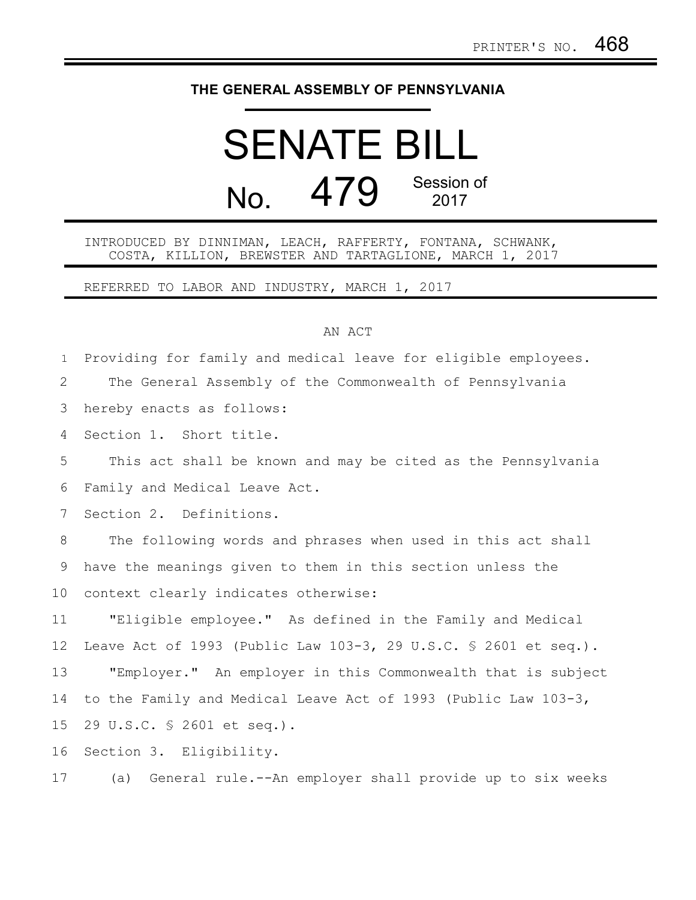## **THE GENERAL ASSEMBLY OF PENNSYLVANIA**

## SENATE BILL No. 479 Session of 2017

## INTRODUCED BY DINNIMAN, LEACH, RAFFERTY, FONTANA, SCHWANK, COSTA, KILLION, BREWSTER AND TARTAGLIONE, MARCH 1, 2017

REFERRED TO LABOR AND INDUSTRY, MARCH 1, 2017

## AN ACT

Providing for family and medical leave for eligible employees. The General Assembly of the Commonwealth of Pennsylvania 1 2

hereby enacts as follows: 3

Section 1. Short title. 4

This act shall be known and may be cited as the Pennsylvania 5

Family and Medical Leave Act. 6

Section 2. Definitions. 7

The following words and phrases when used in this act shall have the meanings given to them in this section unless the context clearly indicates otherwise: 8 9 10

"Eligible employee." As defined in the Family and Medical Leave Act of 1993 (Public Law 103-3, 29 U.S.C. § 2601 et seq.). "Employer." An employer in this Commonwealth that is subject to the Family and Medical Leave Act of 1993 (Public Law 103-3, 29 U.S.C. § 2601 et seq.). 11 12 13 14 15

Section 3. Eligibility. 16

(a) General rule.--An employer shall provide up to six weeks 17